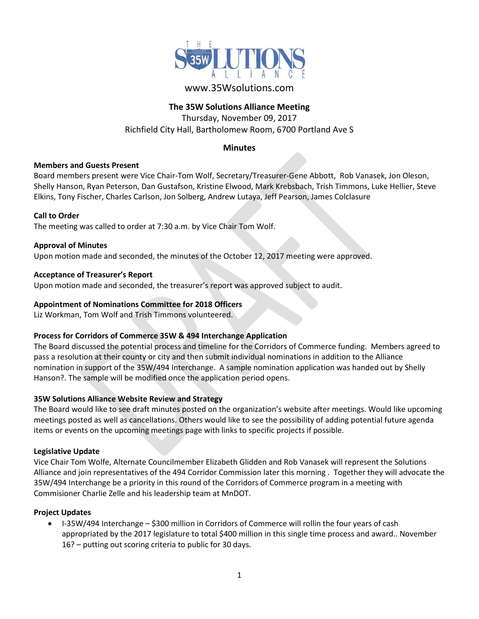

# www.35Wsolutions.com

# **The 35W Solutions Alliance Meeting**

Thursday, November 09, 2017 Richfield City Hall, Bartholomew Room, 6700 Portland Ave S

# **Minutes**

## **Members and Guests Present**

Board members present were Vice Chair-Tom Wolf, Secretary/Treasurer-Gene Abbott, Rob Vanasek, Jon Oleson, Shelly Hanson, Ryan Peterson, Dan Gustafson, Kristine Elwood, Mark Krebsbach, Trish Timmons, Luke Hellier, Steve Elkins, Tony Fischer, Charles Carlson, Jon Solberg, Andrew Lutaya, Jeff Pearson, James Colclasure

#### **Call to Order**

The meeting was called to order at 7:30 a.m. by Vice Chair Tom Wolf.

#### **Approval of Minutes**

Upon motion made and seconded, the minutes of the October 12, 2017 meeting were approved.

#### **Acceptance of Treasurer's Report**

Upon motion made and seconded, the treasurer's report was approved subject to audit.

#### **Appointment of Nominations Committee for 2018 Officers**

Liz Workman, Tom Wolf and Trish Timmons volunteered.

## **Process for Corridors of Commerce 35W & 494 Interchange Application**

The Board discussed the potential process and timeline for the Corridors of Commerce funding. Members agreed to pass a resolution at their county or city and then submit individual nominations in addition to the Alliance nomination in support of the 35W/494 Interchange. A sample nomination application was handed out by Shelly Hanson?. The sample will be modified once the application period opens.

## **35W Solutions Alliance Website Review and Strategy**

The Board would like to see draft minutes posted on the organization's website after meetings. Would like upcoming meetings posted as well as cancellations. Others would like to see the possibility of adding potential future agenda items or events on the upcoming meetings page with links to specific projects if possible.

#### **Legislative Update**

Vice Chair Tom Wolfe, Alternate Councilmember Elizabeth Glidden and Rob Vanasek will represent the Solutions Alliance and join representatives of the 494 Corridor Commission later this morning . Together they will advocate the 35W/494 Interchange be a priority in this round of the Corridors of Commerce program in a meeting with Commisioner Charlie Zelle and his leadership team at MnDOT.

#### **Project Updates**

• I-35W/494 Interchange – \$300 million in Corridors of Commerce will rollin the four years of cash appropriated by the 2017 legislature to total \$400 million in this single time process and award.. November 16? – putting out scoring criteria to public for 30 days.